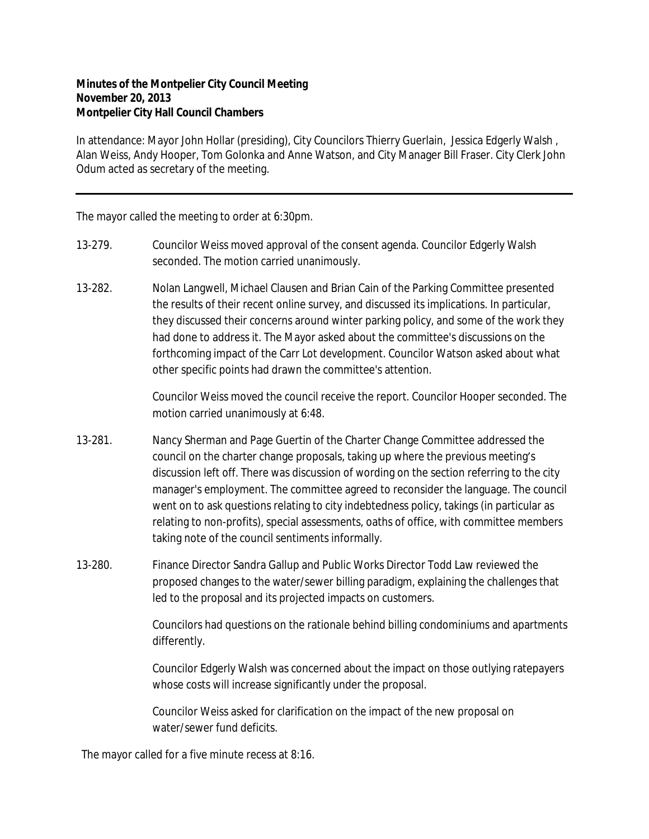## **Minutes of the Montpelier City Council Meeting November 20, 2013 Montpelier City Hall Council Chambers**

In attendance: Mayor John Hollar (presiding), City Councilors Thierry Guerlain, Jessica Edgerly Walsh , Alan Weiss, Andy Hooper, Tom Golonka and Anne Watson, and City Manager Bill Fraser. City Clerk John Odum acted as secretary of the meeting.

The mayor called the meeting to order at 6:30pm.

- 13-279. Councilor Weiss moved approval of the consent agenda. Councilor Edgerly Walsh seconded. The motion carried unanimously.
- 13-282. Nolan Langwell, Michael Clausen and Brian Cain of the Parking Committee presented the results of their recent online survey, and discussed its implications. In particular, they discussed their concerns around winter parking policy, and some of the work they had done to address it. The Mayor asked about the committee's discussions on the forthcoming impact of the Carr Lot development. Councilor Watson asked about what other specific points had drawn the committee's attention.

Councilor Weiss moved the council receive the report. Councilor Hooper seconded. The motion carried unanimously at 6:48.

- 13-281. Nancy Sherman and Page Guertin of the Charter Change Committee addressed the council on the charter change proposals, taking up where the previous meeting's discussion left off. There was discussion of wording on the section referring to the city manager's employment. The committee agreed to reconsider the language. The council went on to ask questions relating to city indebtedness policy, takings (in particular as relating to non-profits), special assessments, oaths of office, with committee members taking note of the council sentiments informally.
- 13-280. Finance Director Sandra Gallup and Public Works Director Todd Law reviewed the proposed changes to the water/sewer billing paradigm, explaining the challenges that led to the proposal and its projected impacts on customers.

Councilors had questions on the rationale behind billing condominiums and apartments differently.

Councilor Edgerly Walsh was concerned about the impact on those outlying ratepayers whose costs will increase significantly under the proposal.

Councilor Weiss asked for clarification on the impact of the new proposal on water/sewer fund deficits.

The mayor called for a five minute recess at 8:16.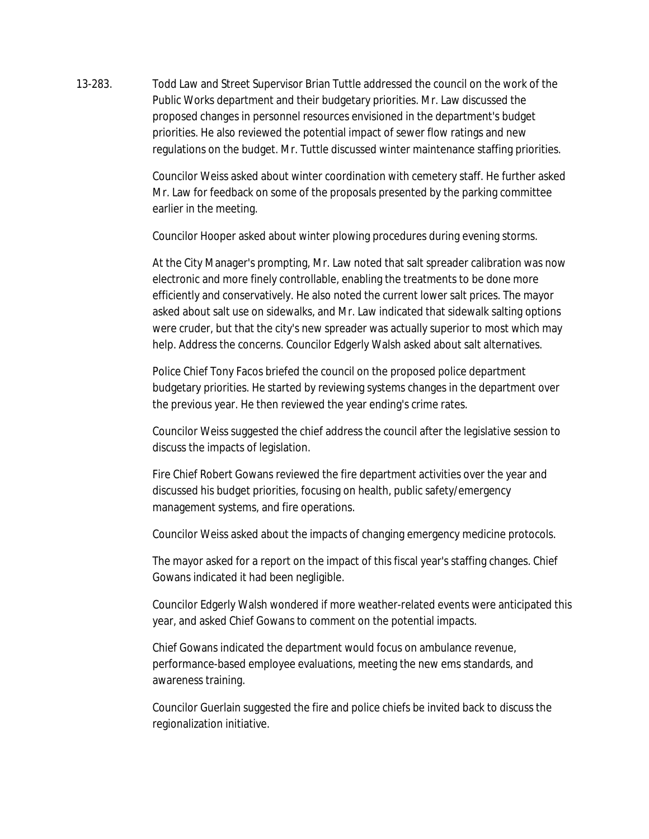13-283. Todd Law and Street Supervisor Brian Tuttle addressed the council on the work of the Public Works department and their budgetary priorities. Mr. Law discussed the proposed changes in personnel resources envisioned in the department's budget priorities. He also reviewed the potential impact of sewer flow ratings and new regulations on the budget. Mr. Tuttle discussed winter maintenance staffing priorities.

> Councilor Weiss asked about winter coordination with cemetery staff. He further asked Mr. Law for feedback on some of the proposals presented by the parking committee earlier in the meeting.

Councilor Hooper asked about winter plowing procedures during evening storms.

At the City Manager's prompting, Mr. Law noted that salt spreader calibration was now electronic and more finely controllable, enabling the treatments to be done more efficiently and conservatively. He also noted the current lower salt prices. The mayor asked about salt use on sidewalks, and Mr. Law indicated that sidewalk salting options were cruder, but that the city's new spreader was actually superior to most which may help. Address the concerns. Councilor Edgerly Walsh asked about salt alternatives.

Police Chief Tony Facos briefed the council on the proposed police department budgetary priorities. He started by reviewing systems changes in the department over the previous year. He then reviewed the year ending's crime rates.

Councilor Weiss suggested the chief address the council after the legislative session to discuss the impacts of legislation.

Fire Chief Robert Gowans reviewed the fire department activities over the year and discussed his budget priorities, focusing on health, public safety/emergency management systems, and fire operations.

Councilor Weiss asked about the impacts of changing emergency medicine protocols.

The mayor asked for a report on the impact of this fiscal year's staffing changes. Chief Gowans indicated it had been negligible.

Councilor Edgerly Walsh wondered if more weather-related events were anticipated this year, and asked Chief Gowans to comment on the potential impacts.

Chief Gowans indicated the department would focus on ambulance revenue, performance-based employee evaluations, meeting the new ems standards, and awareness training.

Councilor Guerlain suggested the fire and police chiefs be invited back to discuss the regionalization initiative.